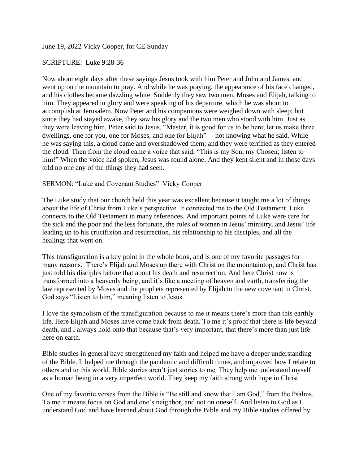June 19, 2022 Vicky Cooper, for CE Sunday

## SCRIPTURE: Luke 9:28-36

Now about eight days after these sayings Jesus took with him Peter and John and James, and went up on the mountain to pray. And while he was praying, the appearance of his face changed, and his clothes became dazzling white. Suddenly they saw two men, Moses and Elijah, talking to him. They appeared in glory and were speaking of his departure, which he was about to accomplish at Jerusalem. Now Peter and his companions were weighed down with sleep; but since they had stayed awake, they saw his glory and the two men who stood with him. Just as they were leaving him, Peter said to Jesus, "Master, it is good for us to be here; let us make three dwellings, one for you, one for Moses, and one for Elijah" —not knowing what he said. While he was saying this, a cloud came and overshadowed them; and they were terrified as they entered the cloud. Then from the cloud came a voice that said, "This is my Son, my Chosen; listen to him!" When the voice had spoken, Jesus was found alone. And they kept silent and in those days told no one any of the things they had seen.

## SERMON: "Luke and Covenant Studies" Vicky Cooper

The Luke study that our church held this year was excellent because it taught me a lot of things about the life of Christ from Luke's perspective. It connected me to the Old Testament. Luke connects to the Old Testament in many references. And important points of Luke were care for the sick and the poor and the less fortunate, the roles of women in Jesus' ministry, and Jesus' life leading up to his crucifixion and resurrection, his relationship to his disciples, and all the healings that went on.

This transfiguration is a key point in the whole book, and is one of my favorite passages for many reasons. There's Elijah and Moses up there with Christ on the mountaintop, and Christ has just told his disciples before that about his death and resurrection. And here Christ now is transformed into a heavenly being, and it's like a meeting of heaven and earth, transferring the law represented by Moses and the prophets represented by Elijah to the new covenant in Christ. God says "Listen to him," meaning listen to Jesus.

I love the symbolism of the transfiguration because to me it means there's more than this earthly life. Here Elijah and Moses have come back from death. To me it's proof that there is life beyond death, and I always hold onto that because that's very important, that there's more than just life here on earth.

Bible studies in general have strengthened my faith and helped me have a deeper understanding of the Bible. It helped me through the pandemic and difficult times, and improved how I relate to others and to this world. Bible stories aren't just stories to me. They help me understand myself as a human being in a very imperfect world. They keep my faith strong with hope in Christ.

One of my favorite verses from the Bible is "Be still and know that I am God," from the Psalms. To me it means focus on God and one's neighbor, and not on oneself. And listen to God as I understand God and have learned about God through the Bible and my Bible studies offered by